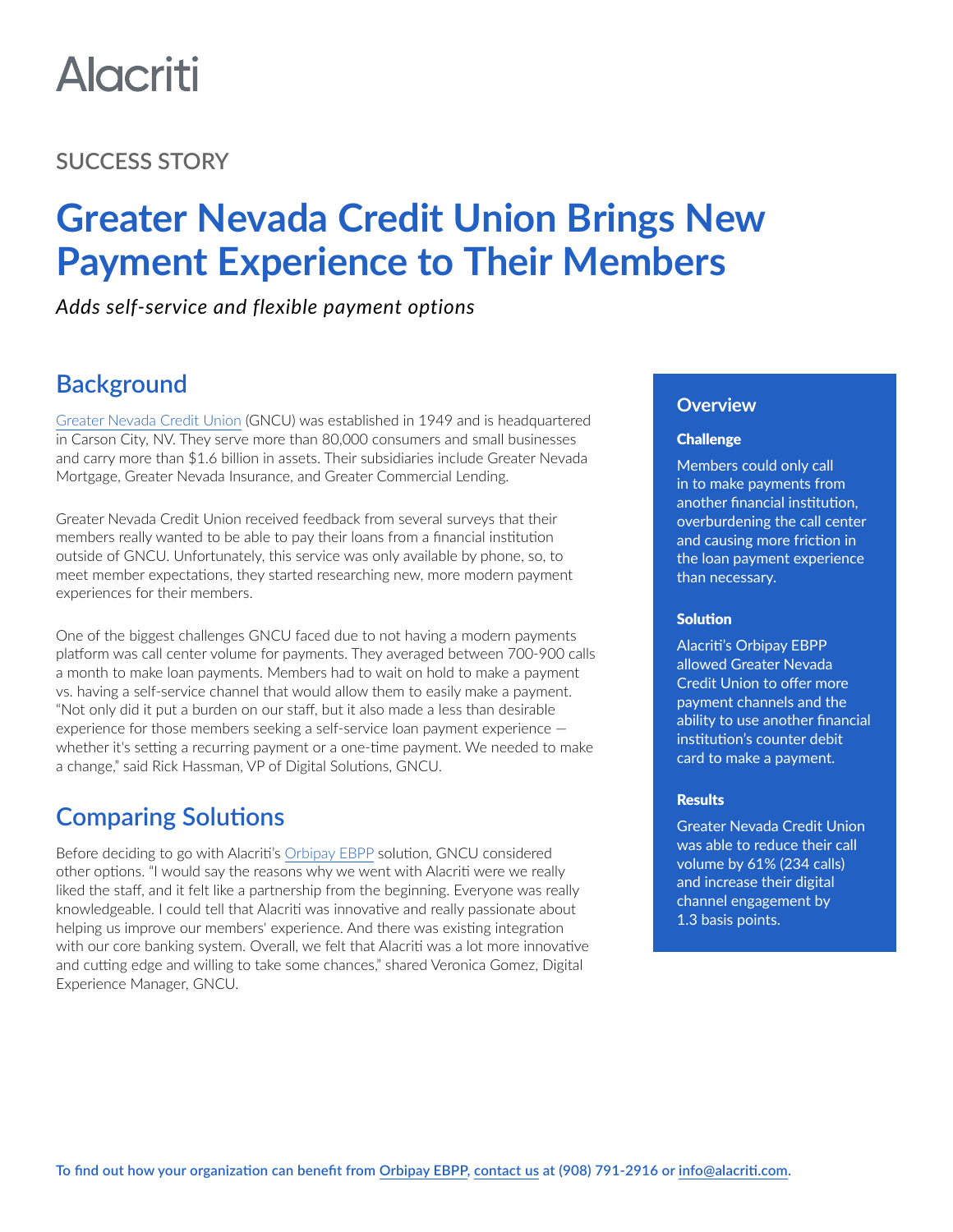# **Alacriti**

### **SUCCESS STORY**

## **Greater Nevada Credit Union Brings New Payment Experience to Their Members**

*Adds self-service and flexible payment options*

## **Background**

[Greater Nevada Credit Union](https://www.gncu.org/) (GNCU) was established in 1949 and is headquartered in Carson City, NV. They serve more than 80,000 consumers and small businesses and carry more than \$1.6 billion in assets. Their subsidiaries include Greater Nevada Mortgage, Greater Nevada Insurance, and Greater Commercial Lending.

Greater Nevada Credit Union received feedback from several surveys that their members really wanted to be able to pay their loans from a financial institution outside of GNCU. Unfortunately, this service was only available by phone, so, to meet member expectations, they started researching new, more modern payment experiences for their members.

One of the biggest challenges GNCU faced due to not having a modern payments platform was call center volume for payments. They averaged between 700-900 calls a month to make loan payments. Members had to wait on hold to make a payment vs. having a self-service channel that would allow them to easily make a payment. "Not only did it put a burden on our staff, but it also made a less than desirable experience for those members seeking a self-service loan payment experience whether it's setting a recurring payment or a one-time payment. We needed to make a change," said Rick Hassman, VP of Digital Solutions, GNCU.

## **Comparing Solutions**

Before deciding to go with Alacriti's [Orbipay EBPP](https://www.alacriti.com/orbipay-ebpp) solution, GNCU considered other options. "I would say the reasons why we went with Alacriti were we really liked the staff, and it felt like a partnership from the beginning. Everyone was really knowledgeable. I could tell that Alacriti was innovative and really passionate about helping us improve our members' experience. And there was existing integration with our core banking system. Overall, we felt that Alacriti was a lot more innovative and cutting edge and willing to take some chances," shared Veronica Gomez, Digital Experience Manager, GNCU.

#### **Overview**

#### **Challenge**

Members could only call in to make payments from another financial institution, overburdening the call center and causing more friction in the loan payment experience than necessary.

#### **Solution**

Alacriti's Orbipay EBPP allowed Greater Nevada Credit Union to offer more payment channels and the ability to use another financial institution's counter debit card to make a payment.

#### **Results**

Greater Nevada Credit Union was able to reduce their call volume by 61% (234 calls) and increase their digital channel engagement by 1.3 basis points.